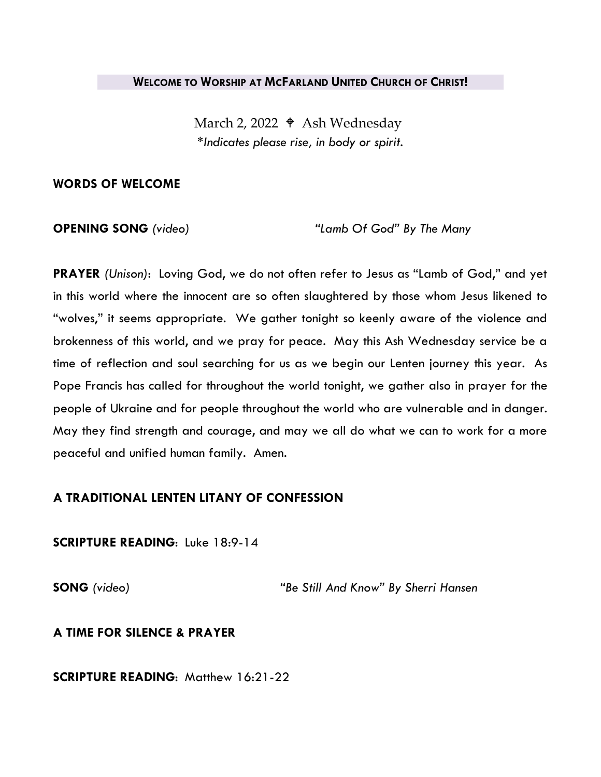#### **WELCOME TO WORSHIP AT MCFARLAND UNITED CHURCH OF CHRIST!**

March 2, 2022  $\triangleleft$  Ash Wednesday *\*Indicates please rise, in body or spirit.*

#### **WORDS OF WELCOME**

**OPENING SONG** *(video)**"Lamb Of God" By The Many*

**PRAYER** *(Unison)*: Loving God, we do not often refer to Jesus as "Lamb of God," and yet in this world where the innocent are so often slaughtered by those whom Jesus likened to "wolves," it seems appropriate. We gather tonight so keenly aware of the violence and brokenness of this world, and we pray for peace. May this Ash Wednesday service be a time of reflection and soul searching for us as we begin our Lenten journey this year. As Pope Francis has called for throughout the world tonight, we gather also in prayer for the people of Ukraine and for people throughout the world who are vulnerable and in danger. May they find strength and courage, and may we all do what we can to work for a more peaceful and unified human family. Amen.

## **A TRADITIONAL LENTEN LITANY OF CONFESSION**

## **SCRIPTURE READING**: Luke 18:9-14

**SONG** *(video) "Be Still And Know" By Sherri Hansen*

## **A TIME FOR SILENCE & PRAYER**

**SCRIPTURE READING**: Matthew 16:21-22